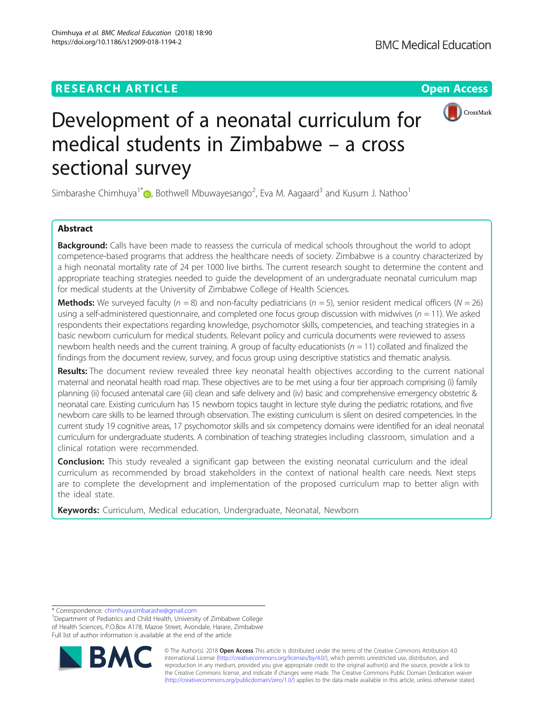## **RESEARCH ARTICLE Example 2018 12:30 THE Open Access**



# Development of a neonatal curriculum for medical students in Zimbabwe – a cross sectional survey

Simbarashe Chimhuya<sup>1\*</sup> $\textcircled{\tiny D}$ [,](http://orcid.org/0000-0003-2833-5155) Bothwell Mbuwayesango<sup>2</sup>, Eva M. Aagaard<sup>3</sup> and Kusum J. Nathoo<sup>1</sup>

## Abstract

Background: Calls have been made to reassess the curricula of medical schools throughout the world to adopt competence-based programs that address the healthcare needs of society. Zimbabwe is a country characterized by a high neonatal mortality rate of 24 per 1000 live births. The current research sought to determine the content and appropriate teaching strategies needed to guide the development of an undergraduate neonatal curriculum map for medical students at the University of Zimbabwe College of Health Sciences.

**Methods:** We surveyed faculty ( $n = 8$ ) and non-faculty pediatricians ( $n = 5$ ), senior resident medical officers ( $N = 26$ ) using a self-administered questionnaire, and completed one focus group discussion with midwives ( $n = 11$ ). We asked respondents their expectations regarding knowledge, psychomotor skills, competencies, and teaching strategies in a basic newborn curriculum for medical students. Relevant policy and curricula documents were reviewed to assess newborn health needs and the current training. A group of faculty educationists ( $n = 11$ ) collated and finalized the findings from the document review, survey, and focus group using descriptive statistics and thematic analysis.

Results: The document review revealed three key neonatal health objectives according to the current national maternal and neonatal health road map. These objectives are to be met using a four tier approach comprising (i) family planning (ii) focused antenatal care (iii) clean and safe delivery and (iv) basic and comprehensive emergency obstetric & neonatal care. Existing curriculum has 15 newborn topics taught in lecture style during the pediatric rotations, and five newborn care skills to be learned through observation. The existing curriculum is silent on desired competencies. In the current study 19 cognitive areas, 17 psychomotor skills and six competency domains were identified for an ideal neonatal curriculum for undergraduate students. A combination of teaching strategies including classroom, simulation and a clinical rotation were recommended.

**Conclusion:** This study revealed a significant gap between the existing neonatal curriculum and the ideal curriculum as recommended by broad stakeholders in the context of national health care needs. Next steps are to complete the development and implementation of the proposed curriculum map to better align with the ideal state.

Keywords: Curriculum, Medical education, Undergraduate, Neonatal, Newborn

<sup>&</sup>lt;sup>1</sup>Department of Pediatrics and Child Health, University of Zimbabwe College of Health Sciences, P.O.Box A178, Mazoe Street, Avondale, Harare, Zimbabwe Full list of author information is available at the end of the article



© The Author(s). 2018 Open Access This article is distributed under the terms of the Creative Commons Attribution 4.0 International License [\(http://creativecommons.org/licenses/by/4.0/](http://creativecommons.org/licenses/by/4.0/)), which permits unrestricted use, distribution, and reproduction in any medium, provided you give appropriate credit to the original author(s) and the source, provide a link to the Creative Commons license, and indicate if changes were made. The Creative Commons Public Domain Dedication waiver [\(http://creativecommons.org/publicdomain/zero/1.0/](http://creativecommons.org/publicdomain/zero/1.0/)) applies to the data made available in this article, unless otherwise stated.

<sup>\*</sup> Correspondence: [chimhuya.simbarashe@gmail.com](mailto:chimhuya.simbarashe@gmail.com) <sup>1</sup>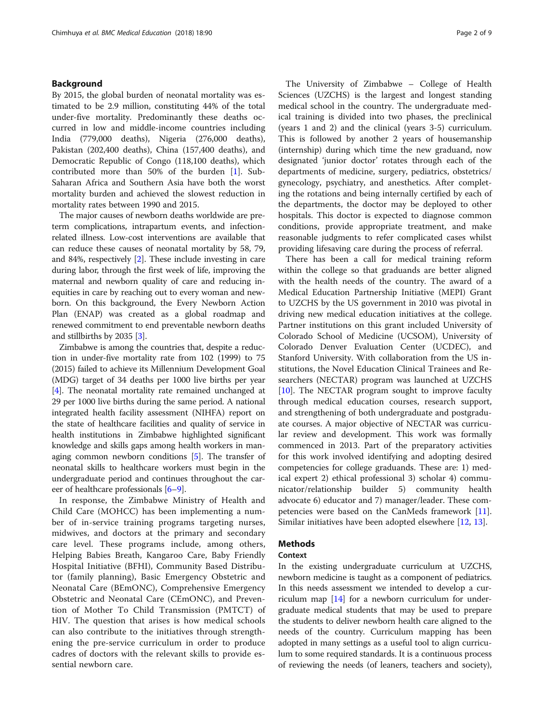## Background

By 2015, the global burden of neonatal mortality was estimated to be 2.9 million, constituting 44% of the total under-five mortality. Predominantly these deaths occurred in low and middle-income countries including India (779,000 deaths), Nigeria (276,000 deaths), Pakistan (202,400 deaths), China (157,400 deaths), and Democratic Republic of Congo (118,100 deaths), which contributed more than 50% of the burden [\[1](#page-8-0)]. Sub-Saharan Africa and Southern Asia have both the worst mortality burden and achieved the slowest reduction in mortality rates between 1990 and 2015.

The major causes of newborn deaths worldwide are preterm complications, intrapartum events, and infectionrelated illness. Low-cost interventions are available that can reduce these causes of neonatal mortality by 58, 79, and 84%, respectively [[2\]](#page-8-0). These include investing in care during labor, through the first week of life, improving the maternal and newborn quality of care and reducing inequities in care by reaching out to every woman and newborn. On this background, the Every Newborn Action Plan (ENAP) was created as a global roadmap and renewed commitment to end preventable newborn deaths and stillbirths by 2035 [\[3\]](#page-8-0).

Zimbabwe is among the countries that, despite a reduction in under-five mortality rate from 102 (1999) to 75 (2015) failed to achieve its Millennium Development Goal (MDG) target of 34 deaths per 1000 live births per year [[4\]](#page-8-0). The neonatal mortality rate remained unchanged at 29 per 1000 live births during the same period. A national integrated health facility assessment (NIHFA) report on the state of healthcare facilities and quality of service in health institutions in Zimbabwe highlighted significant knowledge and skills gaps among health workers in man-aging common newborn conditions [\[5](#page-8-0)]. The transfer of neonatal skills to healthcare workers must begin in the undergraduate period and continues throughout the career of healthcare professionals [\[6](#page-8-0)–[9\]](#page-8-0).

In response, the Zimbabwe Ministry of Health and Child Care (MOHCC) has been implementing a number of in-service training programs targeting nurses, midwives, and doctors at the primary and secondary care level. These programs include, among others, Helping Babies Breath, Kangaroo Care, Baby Friendly Hospital Initiative (BFHI), Community Based Distributor (family planning), Basic Emergency Obstetric and Neonatal Care (BEmONC), Comprehensive Emergency Obstetric and Neonatal Care (CEmONC), and Prevention of Mother To Child Transmission (PMTCT) of HIV. The question that arises is how medical schools can also contribute to the initiatives through strengthening the pre-service curriculum in order to produce cadres of doctors with the relevant skills to provide essential newborn care.

The University of Zimbabwe – College of Health Sciences (UZCHS) is the largest and longest standing medical school in the country. The undergraduate medical training is divided into two phases, the preclinical (years 1 and 2) and the clinical (years 3-5) curriculum. This is followed by another 2 years of housemanship (internship) during which time the new graduand, now designated 'junior doctor' rotates through each of the departments of medicine, surgery, pediatrics, obstetrics/ gynecology, psychiatry, and anesthetics. After completing the rotations and being internally certified by each of the departments, the doctor may be deployed to other hospitals. This doctor is expected to diagnose common conditions, provide appropriate treatment, and make reasonable judgments to refer complicated cases whilst providing lifesaving care during the process of referral.

There has been a call for medical training reform within the college so that graduands are better aligned with the health needs of the country. The award of a Medical Education Partnership Initiative (MEPI) Grant to UZCHS by the US government in 2010 was pivotal in driving new medical education initiatives at the college. Partner institutions on this grant included University of Colorado School of Medicine (UCSOM), University of Colorado Denver Evaluation Center (UCDEC), and Stanford University. With collaboration from the US institutions, the Novel Education Clinical Trainees and Researchers (NECTAR) program was launched at UZCHS [[10\]](#page-8-0). The NECTAR program sought to improve faculty through medical education courses, research support, and strengthening of both undergraduate and postgraduate courses. A major objective of NECTAR was curricular review and development. This work was formally commenced in 2013. Part of the preparatory activities for this work involved identifying and adopting desired competencies for college graduands. These are: 1) medical expert 2) ethical professional 3) scholar 4) communicator/relationship builder 5) community health advocate 6) educator and 7) manager/leader. These competencies were based on the CanMeds framework [\[11](#page-8-0)]. Similar initiatives have been adopted elsewhere [[12,](#page-8-0) [13\]](#page-8-0).

## Methods

#### Context

In the existing undergraduate curriculum at UZCHS, newborn medicine is taught as a component of pediatrics. In this needs assessment we intended to develop a curriculum map [\[14](#page-8-0)] for a newborn curriculum for undergraduate medical students that may be used to prepare the students to deliver newborn health care aligned to the needs of the country. Curriculum mapping has been adopted in many settings as a useful tool to align curriculum to some required standards. It is a continuous process of reviewing the needs (of leaners, teachers and society),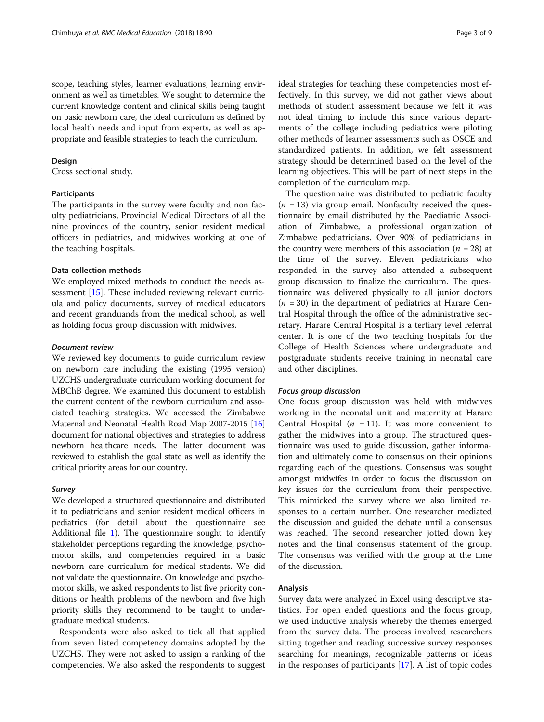scope, teaching styles, learner evaluations, learning environment as well as timetables. We sought to determine the current knowledge content and clinical skills being taught on basic newborn care, the ideal curriculum as defined by local health needs and input from experts, as well as appropriate and feasible strategies to teach the curriculum.

## Design

Cross sectional study.

## Participants

The participants in the survey were faculty and non faculty pediatricians, Provincial Medical Directors of all the nine provinces of the country, senior resident medical officers in pediatrics, and midwives working at one of the teaching hospitals.

## Data collection methods

We employed mixed methods to conduct the needs as-sessment [\[15\]](#page-8-0). These included reviewing relevant curricula and policy documents, survey of medical educators and recent granduands from the medical school, as well as holding focus group discussion with midwives.

## Document review

We reviewed key documents to guide curriculum review on newborn care including the existing (1995 version) UZCHS undergraduate curriculum working document for MBChB degree. We examined this document to establish the current content of the newborn curriculum and associated teaching strategies. We accessed the Zimbabwe Maternal and Neonatal Health Road Map 2007-2015 [[16](#page-8-0)] document for national objectives and strategies to address newborn healthcare needs. The latter document was reviewed to establish the goal state as well as identify the critical priority areas for our country.

#### Survey

We developed a structured questionnaire and distributed it to pediatricians and senior resident medical officers in pediatrics (for detail about the questionnaire see Additional file [1\)](#page-7-0). The questionnaire sought to identify stakeholder perceptions regarding the knowledge, psychomotor skills, and competencies required in a basic newborn care curriculum for medical students. We did not validate the questionnaire. On knowledge and psychomotor skills, we asked respondents to list five priority conditions or health problems of the newborn and five high priority skills they recommend to be taught to undergraduate medical students.

Respondents were also asked to tick all that applied from seven listed competency domains adopted by the UZCHS. They were not asked to assign a ranking of the competencies. We also asked the respondents to suggest ideal strategies for teaching these competencies most effectively. In this survey, we did not gather views about methods of student assessment because we felt it was not ideal timing to include this since various departments of the college including pediatrics were piloting other methods of learner assessments such as OSCE and standardized patients. In addition, we felt assessment strategy should be determined based on the level of the learning objectives. This will be part of next steps in the completion of the curriculum map.

The questionnaire was distributed to pediatric faculty  $(n = 13)$  via group email. Nonfaculty received the questionnaire by email distributed by the Paediatric Association of Zimbabwe, a professional organization of Zimbabwe pediatricians. Over 90% of pediatricians in the country were members of this association ( $n = 28$ ) at the time of the survey. Eleven pediatricians who responded in the survey also attended a subsequent group discussion to finalize the curriculum. The questionnaire was delivered physically to all junior doctors  $(n = 30)$  in the department of pediatrics at Harare Central Hospital through the office of the administrative secretary. Harare Central Hospital is a tertiary level referral center. It is one of the two teaching hospitals for the College of Health Sciences where undergraduate and postgraduate students receive training in neonatal care and other disciplines.

## Focus group discussion

One focus group discussion was held with midwives working in the neonatal unit and maternity at Harare Central Hospital ( $n = 11$ ). It was more convenient to gather the midwives into a group. The structured questionnaire was used to guide discussion, gather information and ultimately come to consensus on their opinions regarding each of the questions. Consensus was sought amongst midwifes in order to focus the discussion on key issues for the curriculum from their perspective. This mimicked the survey where we also limited responses to a certain number. One researcher mediated the discussion and guided the debate until a consensus was reached. The second researcher jotted down key notes and the final consensus statement of the group. The consensus was verified with the group at the time of the discussion.

## Analysis

Survey data were analyzed in Excel using descriptive statistics. For open ended questions and the focus group, we used inductive analysis whereby the themes emerged from the survey data. The process involved researchers sitting together and reading successive survey responses searching for meanings, recognizable patterns or ideas in the responses of participants [[17\]](#page-8-0). A list of topic codes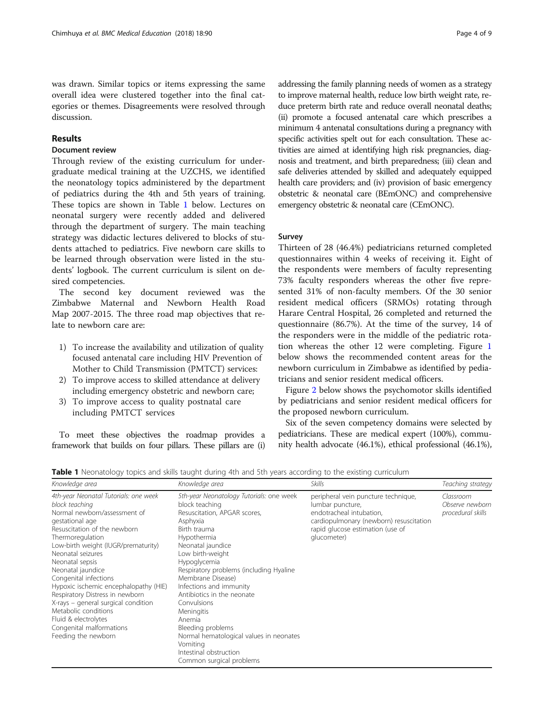was drawn. Similar topics or items expressing the same overall idea were clustered together into the final categories or themes. Disagreements were resolved through discussion.

## Results

## Document review

Through review of the existing curriculum for undergraduate medical training at the UZCHS, we identified the neonatology topics administered by the department of pediatrics during the 4th and 5th years of training. These topics are shown in Table 1 below. Lectures on neonatal surgery were recently added and delivered through the department of surgery. The main teaching strategy was didactic lectures delivered to blocks of students attached to pediatrics. Five newborn care skills to be learned through observation were listed in the students' logbook. The current curriculum is silent on desired competencies.

The second key document reviewed was the Zimbabwe Maternal and Newborn Health Road Map 2007-2015. The three road map objectives that relate to newborn care are:

- 1) To increase the availability and utilization of quality focused antenatal care including HIV Prevention of Mother to Child Transmission (PMTCT) services:
- 2) To improve access to skilled attendance at delivery including emergency obstetric and newborn care;
- 3) To improve access to quality postnatal care including PMTCT services

To meet these objectives the roadmap provides a framework that builds on four pillars. These pillars are (i)

addressing the family planning needs of women as a strategy to improve maternal health, reduce low birth weight rate, reduce preterm birth rate and reduce overall neonatal deaths; (ii) promote a focused antenatal care which prescribes a minimum 4 antenatal consultations during a pregnancy with specific activities spelt out for each consultation. These activities are aimed at identifying high risk pregnancies, diagnosis and treatment, and birth preparedness; (iii) clean and safe deliveries attended by skilled and adequately equipped health care providers; and (iv) provision of basic emergency obstetric & neonatal care (BEmONC) and comprehensive emergency obstetric & neonatal care (CEmONC).

## Survey

Thirteen of 28 (46.4%) pediatricians returned completed questionnaires within 4 weeks of receiving it. Eight of the respondents were members of faculty representing 73% faculty responders whereas the other five represented 31% of non-faculty members. Of the 30 senior resident medical officers (SRMOs) rotating through Harare Central Hospital, 26 completed and returned the questionnaire (86.7%). At the time of the survey, 14 of the responders were in the middle of the pediatric rotation whereas the other 12 were completing. Figure [1](#page-4-0) below shows the recommended content areas for the newborn curriculum in Zimbabwe as identified by pediatricians and senior resident medical officers.

Figure [2](#page-4-0) below shows the psychomotor skills identified by pediatricians and senior resident medical officers for the proposed newborn curriculum.

Six of the seven competency domains were selected by pediatricians. These are medical expert (100%), community health advocate (46.1%), ethical professional (46.1%),

Table 1 Neonatology topics and skills taught during 4th and 5th years according to the existing curriculum

| Knowledge area                                                                                                                                                                                                                                                                                                                                                                                                                                                                                                    | Knowledge area                                                                                                                                                                                                                                                                                                                                                                                                                             | Skills                                                                                                                                                                            | Teaching strategy                                 |
|-------------------------------------------------------------------------------------------------------------------------------------------------------------------------------------------------------------------------------------------------------------------------------------------------------------------------------------------------------------------------------------------------------------------------------------------------------------------------------------------------------------------|--------------------------------------------------------------------------------------------------------------------------------------------------------------------------------------------------------------------------------------------------------------------------------------------------------------------------------------------------------------------------------------------------------------------------------------------|-----------------------------------------------------------------------------------------------------------------------------------------------------------------------------------|---------------------------------------------------|
| 4th-year Neonatal Tutorials: one week<br>block teaching<br>Normal newborn/assessment of<br>gestational age<br>Resuscitation of the newborn<br>Thermoregulation<br>Low-birth weight (IUGR/prematurity)<br>Neonatal seizures<br>Neonatal sepsis<br>Neonatal jaundice<br>Congenital infections<br>Hypoxic ischemic encephalopathy (HIE)<br>Respiratory Distress in newborn<br>X-rays – general surgical condition<br>Metabolic conditions<br>Fluid & electrolytes<br>Congenital malformations<br>Feeding the newborn | 5th-year Neonatology Tutorials: one week<br>block teaching<br>Resuscitation, APGAR scores,<br>Asphyxia<br>Birth trauma<br>Hypothermia<br>Neonatal jaundice<br>Low birth-weight<br>Hypoglycemia<br>Respiratory problems (including Hyaline<br>Membrane Disease)<br>Infections and immunity<br>Antibiotics in the neonate<br>Convulsions<br>Meningitis<br>Anemia<br>Bleeding problems<br>Normal hematological values in neonates<br>Vomiting | peripheral vein puncture technique,<br>lumbar puncture,<br>endotracheal intubation,<br>cardiopulmonary (newborn) resuscitation<br>rapid glucose estimation (use of<br>qlucometer) | Classroom<br>Observe newborn<br>procedural skills |
|                                                                                                                                                                                                                                                                                                                                                                                                                                                                                                                   | Intestinal obstruction<br>Common surgical problems                                                                                                                                                                                                                                                                                                                                                                                         |                                                                                                                                                                                   |                                                   |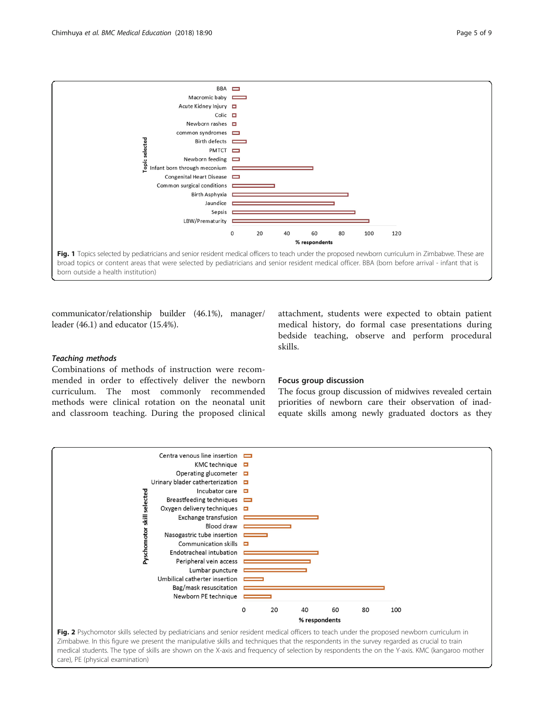<span id="page-4-0"></span>

communicator/relationship builder (46.1%), manager/ leader (46.1) and educator (15.4%).

## Teaching methods

Combinations of methods of instruction were recommended in order to effectively deliver the newborn curriculum. The most commonly recommended methods were clinical rotation on the neonatal unit and classroom teaching. During the proposed clinical

attachment, students were expected to obtain patient medical history, do formal case presentations during bedside teaching, observe and perform procedural skills.

## Focus group discussion

The focus group discussion of midwives revealed certain priorities of newborn care their observation of inadequate skills among newly graduated doctors as they

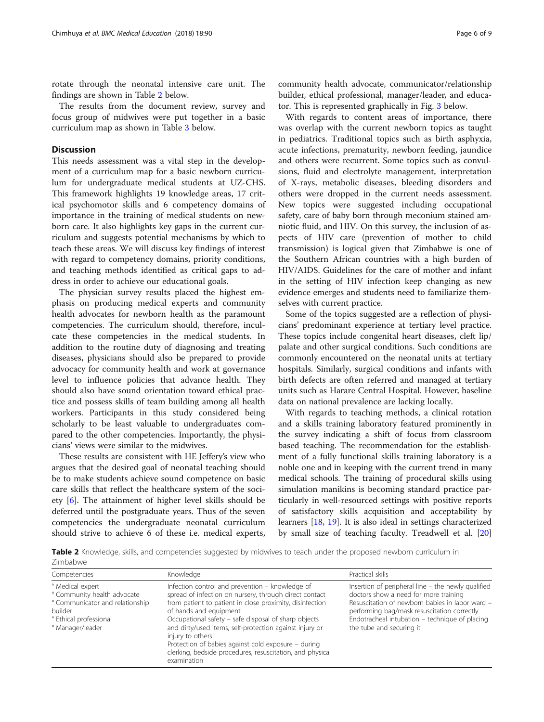rotate through the neonatal intensive care unit. The findings are shown in Table 2 below.

The results from the document review, survey and focus group of midwives were put together in a basic curriculum map as shown in Table [3](#page-6-0) below.

## **Discussion**

This needs assessment was a vital step in the development of a curriculum map for a basic newborn curriculum for undergraduate medical students at UZ-CHS. This framework highlights 19 knowledge areas, 17 critical psychomotor skills and 6 competency domains of importance in the training of medical students on newborn care. It also highlights key gaps in the current curriculum and suggests potential mechanisms by which to teach these areas. We will discuss key findings of interest with regard to competency domains, priority conditions, and teaching methods identified as critical gaps to address in order to achieve our educational goals.

The physician survey results placed the highest emphasis on producing medical experts and community health advocates for newborn health as the paramount competencies. The curriculum should, therefore, inculcate these competencies in the medical students. In addition to the routine duty of diagnosing and treating diseases, physicians should also be prepared to provide advocacy for community health and work at governance level to influence policies that advance health. They should also have sound orientation toward ethical practice and possess skills of team building among all health workers. Participants in this study considered being scholarly to be least valuable to undergraduates compared to the other competencies. Importantly, the physicians' views were similar to the midwives.

These results are consistent with HE Jeffery's view who argues that the desired goal of neonatal teaching should be to make students achieve sound competence on basic care skills that reflect the healthcare system of the society [\[6](#page-8-0)]. The attainment of higher level skills should be deferred until the postgraduate years. Thus of the seven competencies the undergraduate neonatal curriculum should strive to achieve 6 of these i.e. medical experts,

community health advocate, communicator/relationship builder, ethical professional, manager/leader, and educator. This is represented graphically in Fig. [3](#page-6-0) below.

With regards to content areas of importance, there was overlap with the current newborn topics as taught in pediatrics. Traditional topics such as birth asphyxia, acute infections, prematurity, newborn feeding, jaundice and others were recurrent. Some topics such as convulsions, fluid and electrolyte management, interpretation of X-rays, metabolic diseases, bleeding disorders and others were dropped in the current needs assessment. New topics were suggested including occupational safety, care of baby born through meconium stained amniotic fluid, and HIV. On this survey, the inclusion of aspects of HIV care (prevention of mother to child transmission) is logical given that Zimbabwe is one of the Southern African countries with a high burden of HIV/AIDS. Guidelines for the care of mother and infant in the setting of HIV infection keep changing as new evidence emerges and students need to familiarize themselves with current practice.

Some of the topics suggested are a reflection of physicians' predominant experience at tertiary level practice. These topics include congenital heart diseases, cleft lip/ palate and other surgical conditions. Such conditions are commonly encountered on the neonatal units at tertiary hospitals. Similarly, surgical conditions and infants with birth defects are often referred and managed at tertiary units such as Harare Central Hospital. However, baseline data on national prevalence are lacking locally.

With regards to teaching methods, a clinical rotation and a skills training laboratory featured prominently in the survey indicating a shift of focus from classroom based teaching. The recommendation for the establishment of a fully functional skills training laboratory is a noble one and in keeping with the current trend in many medical schools. The training of procedural skills using simulation manikins is becoming standard practice particularly in well-resourced settings with positive reports of satisfactory skills acquisition and acceptability by learners [[18](#page-8-0), [19\]](#page-8-0). It is also ideal in settings characterized by small size of teaching faculty. Treadwell et al. [[20](#page-8-0)]

Table 2 Knowledge, skills, and competencies suggested by midwives to teach under the proposed newborn curriculum in Zimbabwe

| Competencies                                                                                                                                                                 | Knowledge                                                                                                                                                                                                                                                                                                                                                                                                                                                                 | Practical skills                                                                                                                                                                                                                                                            |
|------------------------------------------------------------------------------------------------------------------------------------------------------------------------------|---------------------------------------------------------------------------------------------------------------------------------------------------------------------------------------------------------------------------------------------------------------------------------------------------------------------------------------------------------------------------------------------------------------------------------------------------------------------------|-----------------------------------------------------------------------------------------------------------------------------------------------------------------------------------------------------------------------------------------------------------------------------|
| <sup>o</sup> Medical expert<br>° Community health advocate<br>° Communicator and relationship<br>builder<br><sup>o</sup> Ethical professional<br><sup>o</sup> Manager/leader | Infection control and prevention – knowledge of<br>spread of infection on nursery, through direct contact<br>from patient to patient in close proximity, disinfection<br>of hands and equipment<br>Occupational safety – safe disposal of sharp objects<br>and dirty/used items, self-protection against injury or<br>injury to others<br>Protection of babies against cold exposure - during<br>clerking, bedside procedures, resuscitation, and physical<br>examination | Insertion of peripheral line – the newly qualified<br>doctors show a need for more training<br>Resuscitation of newborn babies in labor ward -<br>performing bag/mask resuscitation correctly<br>Endotracheal intubation – technique of placing<br>the tube and securing it |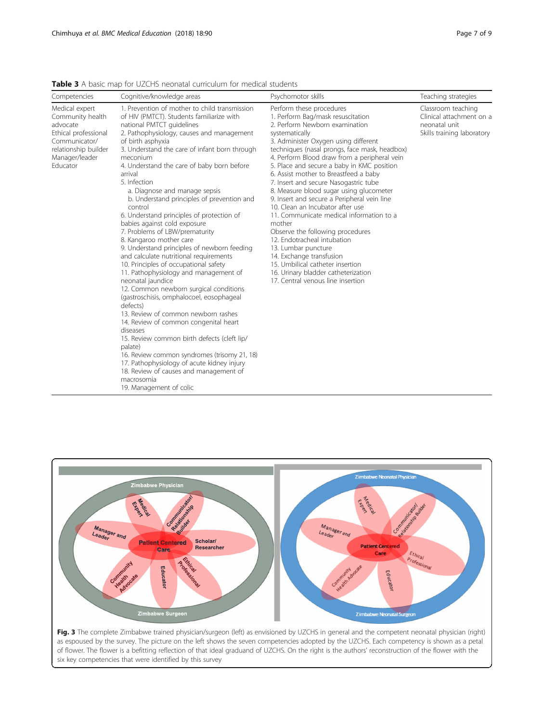| Competencies                                                                                                                                  | Cognitive/knowledge areas                                                                                                                                                                                                                                                                                                                                                                                                                                                                                                                                                                                                                                                                                                                                                                                                                                                                                                                                                                                                                                                                                                                                                                                    | Psychomotor skills                                                                                                                                                                                                                                                                                                                                                                                                                                                                                                                                                                                                                                                                                                                                                                                                   | Teaching strategies                                                                           |
|-----------------------------------------------------------------------------------------------------------------------------------------------|--------------------------------------------------------------------------------------------------------------------------------------------------------------------------------------------------------------------------------------------------------------------------------------------------------------------------------------------------------------------------------------------------------------------------------------------------------------------------------------------------------------------------------------------------------------------------------------------------------------------------------------------------------------------------------------------------------------------------------------------------------------------------------------------------------------------------------------------------------------------------------------------------------------------------------------------------------------------------------------------------------------------------------------------------------------------------------------------------------------------------------------------------------------------------------------------------------------|----------------------------------------------------------------------------------------------------------------------------------------------------------------------------------------------------------------------------------------------------------------------------------------------------------------------------------------------------------------------------------------------------------------------------------------------------------------------------------------------------------------------------------------------------------------------------------------------------------------------------------------------------------------------------------------------------------------------------------------------------------------------------------------------------------------------|-----------------------------------------------------------------------------------------------|
| Medical expert<br>Community health<br>advocate<br>Ethical professional<br>Communicator/<br>relationship builder<br>Manager/leader<br>Educator | 1. Prevention of mother to child transmission<br>of HIV (PMTCT). Students familiarize with<br>national PMTCT quidelines<br>2. Pathophysiology, causes and management<br>of birth asphyxia<br>3. Understand the care of infant born through<br>meconium<br>4. Understand the care of baby born before<br>arrival<br>5. Infection<br>a. Diagnose and manage sepsis<br>b. Understand principles of prevention and<br>control<br>6. Understand principles of protection of<br>babies against cold exposure<br>7. Problems of LBW/prematurity<br>8. Kangaroo mother care<br>9. Understand principles of newborn feeding<br>and calculate nutritional requirements<br>10. Principles of occupational safety<br>11. Pathophysiology and management of<br>neonatal jaundice<br>12. Common newborn surgical conditions<br>(gastroschisis, omphalocoel, eosophageal<br>defects)<br>13. Review of common newborn rashes<br>14. Review of common congenital heart<br>diseases<br>15. Review common birth defects (cleft lip/<br>palate)<br>16. Review common syndromes (trisomy 21, 18)<br>17. Pathophysiology of acute kidney injury<br>18. Review of causes and management of<br>macrosomia<br>19. Management of colic | Perform these procedures<br>1. Perform Bag/mask resuscitation<br>2. Perform Newborn examination<br>systematically<br>3. Administer Oxygen using different<br>techniques (nasal prongs, face mask, headbox)<br>4. Perform Blood draw from a peripheral vein<br>5. Place and secure a baby in KMC position<br>6. Assist mother to Breastfeed a baby<br>7. Insert and secure Nasogastric tube<br>8. Measure blood sugar using glucometer<br>9. Insert and secure a Peripheral vein line<br>10. Clean an Incubator after use<br>11. Communicate medical information to a<br>mother<br>Observe the following procedures<br>12. Endotracheal intubation<br>13. Lumbar puncture<br>14. Exchange transfusion<br>15. Umbilical catheter insertion<br>16. Urinary bladder catheterization<br>17. Central venous line insertion | Classroom teaching<br>Clinical attachment on a<br>neonatal unit<br>Skills training laboratory |

<span id="page-6-0"></span>Table 3 A basic map for UZCHS neonatal curriculum for medical students



Fig. 3 The complete Zimbabwe trained physician/surgeon (left) as envisioned by UZCHS in general and the competent neonatal physician (right) as espoused by the survey. The picture on the left shows the seven competencies adopted by the UZCHS. Each competency is shown as a petal of flower. The flower is a befitting reflection of that ideal graduand of UZCHS. On the right is the authors' reconstruction of the flower with the six key competencies that were identified by this survey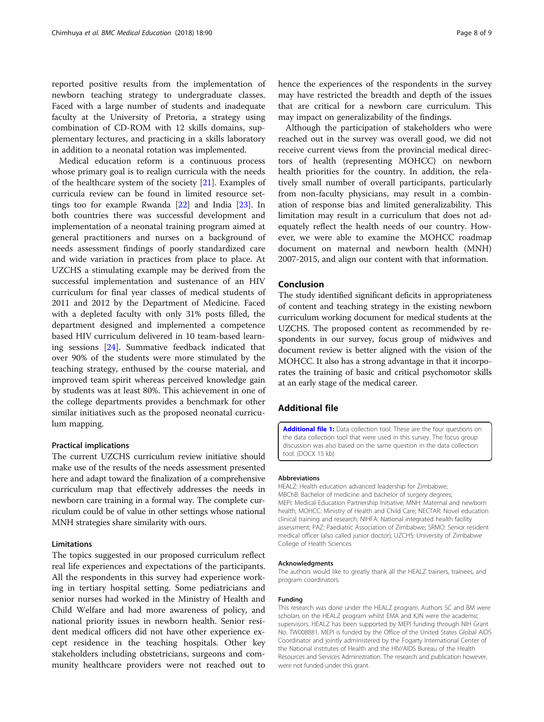<span id="page-7-0"></span>reported positive results from the implementation of newborn teaching strategy to undergraduate classes. Faced with a large number of students and inadequate faculty at the University of Pretoria, a strategy using combination of CD-ROM with 12 skills domains, supplementary lectures, and practicing in a skills laboratory in addition to a neonatal rotation was implemented.

Medical education reform is a continuous process whose primary goal is to realign curricula with the needs of the healthcare system of the society [[21\]](#page-8-0). Examples of curricula review can be found in limited resource settings too for example Rwanda [\[22](#page-8-0)] and India [[23\]](#page-8-0). In both countries there was successful development and implementation of a neonatal training program aimed at general practitioners and nurses on a background of needs assessment findings of poorly standardized care and wide variation in practices from place to place. At UZCHS a stimulating example may be derived from the successful implementation and sustenance of an HIV curriculum for final year classes of medical students of 2011 and 2012 by the Department of Medicine. Faced with a depleted faculty with only 31% posts filled, the department designed and implemented a competence based HIV curriculum delivered in 10 team-based learning sessions [[24\]](#page-8-0). Summative feedback indicated that over 90% of the students were more stimulated by the teaching strategy, enthused by the course material, and improved team spirit whereas perceived knowledge gain by students was at least 80%. This achievement in one of the college departments provides a benchmark for other similar initiatives such as the proposed neonatal curriculum mapping.

#### Practical implications

The current UZCHS curriculum review initiative should make use of the results of the needs assessment presented here and adapt toward the finalization of a comprehensive curriculum map that effectively addresses the needs in newborn care training in a formal way. The complete curriculum could be of value in other settings whose national MNH strategies share similarity with ours.

## Limitations

The topics suggested in our proposed curriculum reflect real life experiences and expectations of the participants. All the respondents in this survey had experience working in tertiary hospital setting. Some pediatricians and senior nurses had worked in the Ministry of Health and Child Welfare and had more awareness of policy, and national priority issues in newborn health. Senior resident medical officers did not have other experience except residence in the teaching hospitals. Other key stakeholders including obstetricians, surgeons and community healthcare providers were not reached out to hence the experiences of the respondents in the survey may have restricted the breadth and depth of the issues that are critical for a newborn care curriculum. This may impact on generalizability of the findings.

Although the participation of stakeholders who were reached out in the survey was overall good, we did not receive current views from the provincial medical directors of health (representing MOHCC) on newborn health priorities for the country. In addition, the relatively small number of overall participants, particularly from non-faculty physicians, may result in a combination of response bias and limited generalizability. This limitation may result in a curriculum that does not adequately reflect the health needs of our country. However, we were able to examine the MOHCC roadmap document on maternal and newborn health (MNH) 2007-2015, and align our content with that information.

## Conclusion

The study identified significant deficits in appropriateness of content and teaching strategy in the existing newborn curriculum working document for medical students at the UZCHS. The proposed content as recommended by respondents in our survey, focus group of midwives and document review is better aligned with the vision of the MOHCC. It also has a strong advantage in that it incorporates the training of basic and critical psychomotor skills at an early stage of the medical career.

## Additional file

**[Additional file 1:](https://doi.org/10.1186/s12909-018-1194-2)** Data collection tool. These are the four questions on the data collection tool that were used in this survey. The focus group discussion was also based on the same question in the data collection tool. (DOCX 15 kb)

#### Abbreviations

HEALZ: Health education advanced leadership for Zimbabwe; MBChB: Bachelor of medicine and bachelor of surgery degrees; MEPI: Medical Education Partnership Initiative; MNH: Maternal and newborn health; MOHCC: Ministry of Health and Child Care; NECTAR: Novel education clinical training and research; NIHFA: National integrated health facility assessment; PAZ: Paediatric Association of Zimbabwe; SRMO: Senior resident medical officer (also called junior doctor); UZCHS: University of Zimbabwe College of Health Sciences

#### Acknowledgments

The authors would like to greatly thank all the HEALZ trainers, trainees, and program coordinators.

#### Funding

This research was done under the HEALZ program. Authors SC and BM were scholars on the HEALZ program whilst EMA and KJN were the academic supervisors. HEALZ has been supported by MEPI funding through NIH Grant No. TW008881. MEPI is funded by the Office of the United States Global AIDS Coordinator and jointly administered by the Fogarty International Center of the National institutes of Health and the HIV/AIDS Bureau of the Health Resources and Services Administration. The research and publication however, were not funded under this grant.